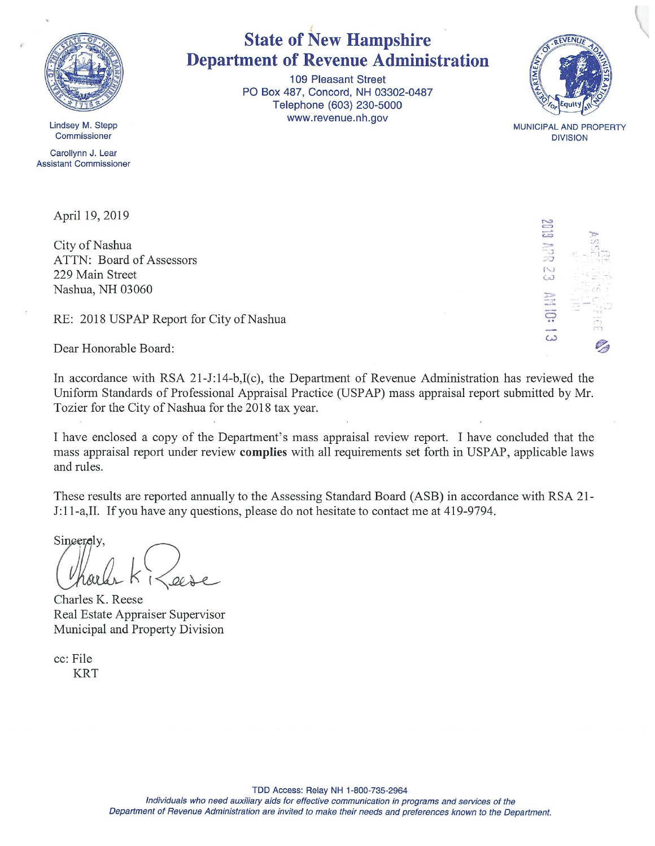

Lindsey M. Stepp **Commissioner** 

Carollynn J. Lear Assistant Commissioner

April 19, 2019

City of Nashua ATTN: Board of Assessors 229 Main Street Nashua, NH 03060

RE: 2018 USPAP Report for City of Nashua

Dear Honorable Board:

In accordance with RSA 21-J:14-b,I(c), the Department of Revenue Administration has reviewed the Uniform Standards of Professional Appraisal Practice (USPAP) mass appraisal report submitted by Mr. Tozier for the City of Nashua for the 2018 tax year.

I have enclosed <sup>a</sup> copy of the Department's mass appraisal review report. I have concluded that the mass appraisal report under review complies with all requirements set forth in USPAP, applicable laws and rules.

These results are reported annually to the Assessing Standard Board (ASB) in accordance with RSA 21- J:l 1-a,II. If you have any questions, please do not hesitate to contact me at 419-9794.

Sincerely,

Charles K. Reese Real Estate Appraiser Supervisor Municipal and Property Division

cc: File KRT

## State of New Hampshire Department of Revenue Administration

109 Pleasant Street P0 Box 487, Concord, NH 03302-0487 Telephone (603) 230-5000 www. revenue.nh.gov



MUNICIPAL. AND PROPERTY **DIVISION** 

 $\tilde{0}$ 

C.)

 $\omega$ 

r-z 0

TDD Access: Relay NH 1-800-735-2964

Individuals who need auxiliary aids for effective communication in programs and services of the Department of Revenue Administration are invited to make their needs and preferences known to the Department.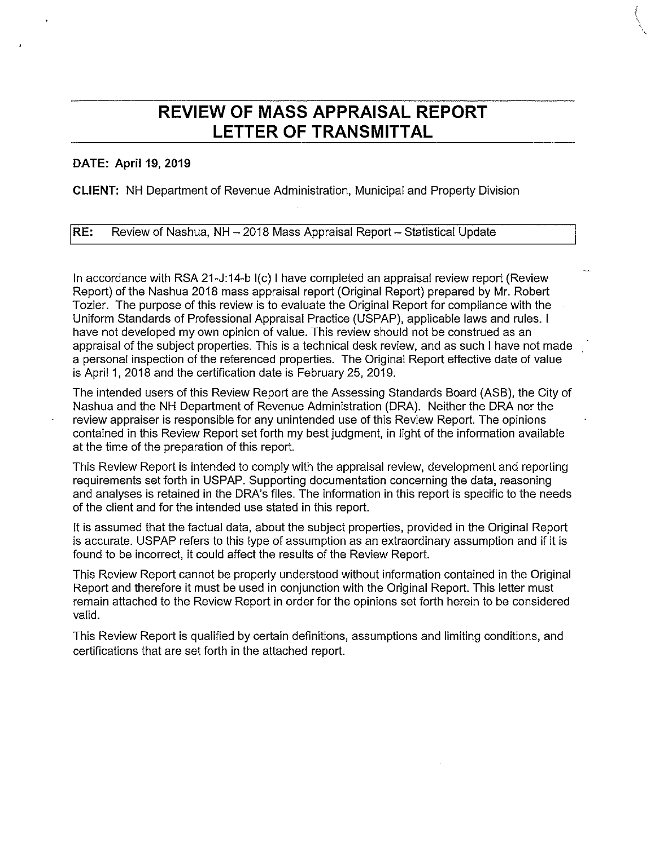## REVIEW OF MASS APPRAISAL REPORT LETTER OF TRANSMITTAL

#### DATE: April 19, 2019

CLIENT: NH Department of Revenue Administration, Municipal and Property Division

RE: Review of Nashua, NH —2018 Mass Appraisal Report — Statistical Update

In accordance with RSA 21-J:14-b 1(c) <sup>I</sup> have completed an appraisal review report (Review Report) of the Nashua 2018 mass appraisal report (Original Report) prepared by Mr. Robert Tozier. The purpose of this review is to evaluate the Original Report for compliance with the Uniform Standards of Professional Appraisal Practice (USPAP), applicable laws and rules. <sup>I</sup> have not developed my own opinion of value. This review should not be construed as an appraisal of the subject properties. This is a technical desk review, and as such <sup>I</sup> have not made a personal inspection of the referenced properties. The Original Report effective date of value is April 1, 2018 and the certification date is February 25, 2019.

The intended users of this Review Report are the Assessing Standards Board (ASB), the City of Nashua and the NH Department of Revenue Administration (DRA). Neither the DRA nor the review appraiser is responsible for any unintended use of this Review Report. The opinions contained in this Review Report set forth my best judgment, in light of the information available at the time of the preparation of this report.

This Review Report is intended to comply with the appraisal review, development and reporting requirements set forth in USPAP. Supporting documentation concerning the data, reasoning and analyses is retained in the DRA's files. The information in this report is specific to the needs of the client and for the intended use stated in this report.

It is assumed that the factual data, about the subject properties, provided in the Original Report is accurate. USPAP refers to this type of assumption as an extraordinary assumption and if it is found to be incorrect, it could affect the results of the Review Report.

This Review Report cannot be properly understood without information contained in the Original Report and therefore it must be used in conjunction with the Original Report. This letter must remain attached to the Review Report in order for the opinions set forth herein to be considered valid.

This Review Report is qualified by certain definitions, assumptions and limiting conditions, and certifications that are set forth in the attached report.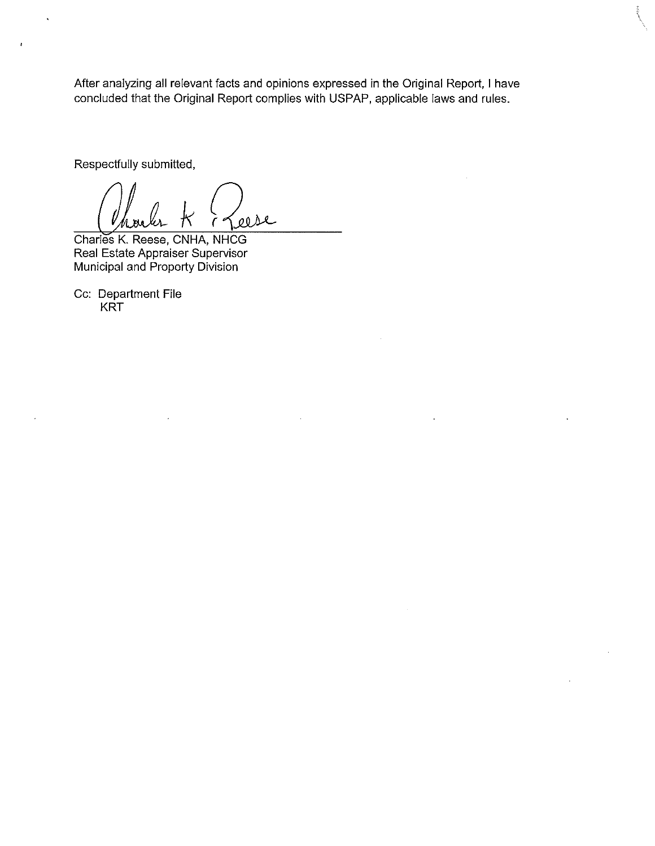After analyzing all relevant facts and opinions expressed in the Original Report, <sup>I</sup> have concluded that the Original Report complies with USPAP, applicable laws and rules.

Respectfully submitted,

 $\ddot{\phantom{1}}$ 

eese

Charles K. Reese, CNHA, NHCG Real Estate Appraiser Supervisor Municipal and Property Division

Cc: Department File KRT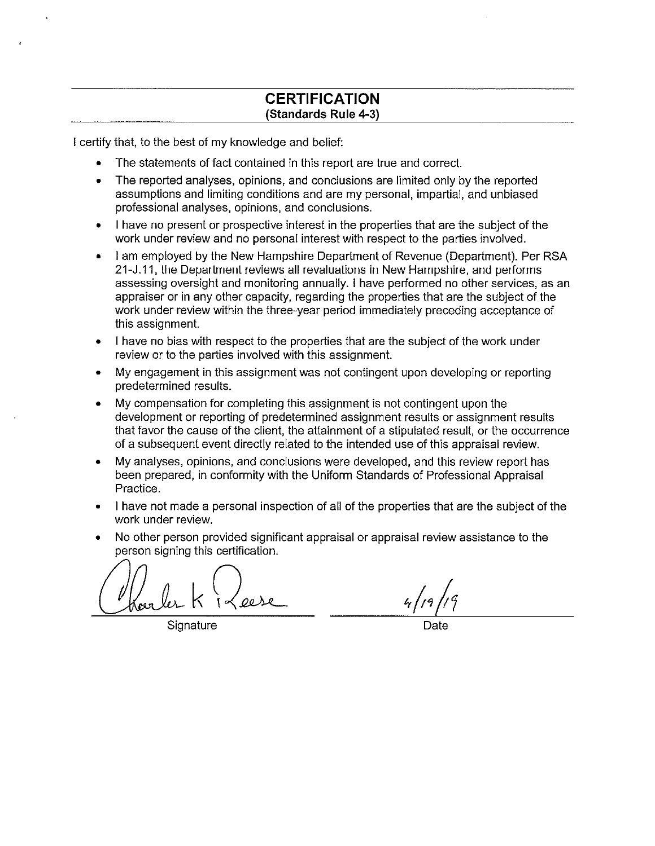### CERTIFICATION (Standards Rule 4-3)

<sup>I</sup> certify that, to the best of my knowledge and belief:

- The statements of fact contained in this report are true and correct.
- The reported analyses, opinions, and conclusions are limited only by the reported assumptions and limiting conditions and are my personal, impartial, and unbiased professional analyses, opinions, and conclusions.
- <sup>I</sup> have no present or prospective interest in the properties that are the subject of the work under review and no personal interest with respect to the parties involved.
- <sup>I</sup> am employed by the New Hampshire Department of Revenue (Department). Per RSA 21-J.11, the Department reviews all revaluations in New Hampshire, and performs assessing oversight and monitoring annually. <sup>I</sup> have performed no other services, as an appraiser or in any other capacity, regarding the properties that are the subject of the work under review within the three-year period immediately preceding acceptance of this assignment.
- <sup>I</sup> have no bias with respect to the properties that are the subject of the work under review or to the parties involved with this assignment.
- My engagement in this assignment was not contingent upon developing or reporting predetermined results.
- My compensation for completing this assignment is not contingent upon the development or reporting of predetermined assignment results or assignment results that favor the cause of the client, the attainment of a stipulated result, or the occurrence of a subsequent event directly related to the intended use of this appraisal review.
- My analyses, opinions, and conclusions were developed, and this review report has been prepared, in conformity with the Uniform Standards of Professional Appraisal Practice.
- <sup>I</sup> have not made a personal inspection of all of the properties that are the subject of the work under review.
- No other person provided significant appraisal or appraisal review assistance to the person signing this certification.

oese

Signature

 $4/19/19$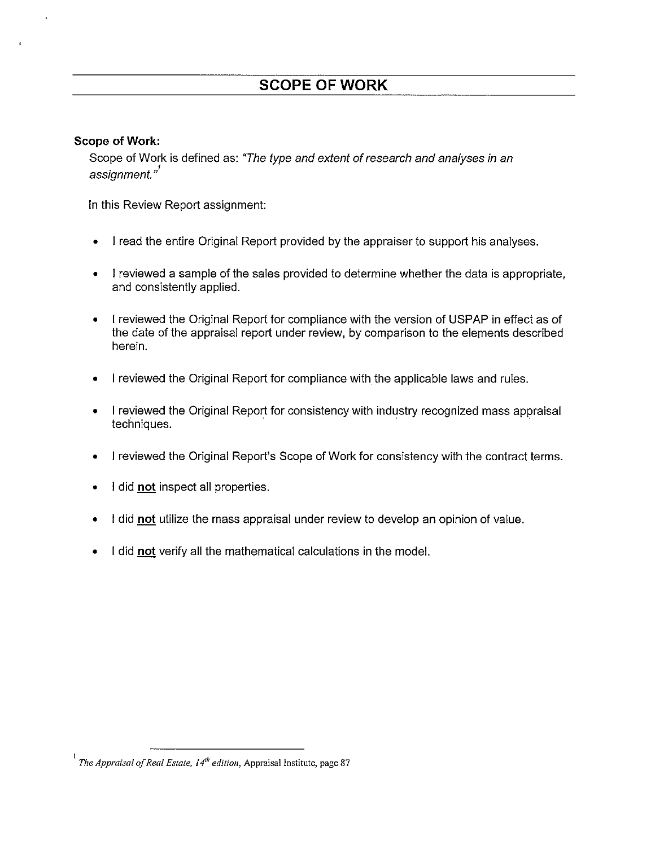### Scope of Work:

Scope of Work is defined as: "The type and extent of research and analyses in an assignment."<sup>1</sup>

In this Review Report assignment:

- <sup>I</sup> read the entire Original Report provided by the appraiser to support his analyses.
- <sup>I</sup> reviewed a sample of the sales provided to determine whether the data is appropriate, and consistently applied.
- <sup>I</sup> reviewed the Original Report for compliance with the version of USPAP in effect as of the date of the appraisal report under review, by comparison to the elements described herein.
- <sup>I</sup> reviewed the Original Report for compliance with the applicable laws and rules.
- I reviewed the Original Report for consistency with industry recognized mass appraisal techniques.
- <sup>I</sup> reviewed the Original Report's Scope of Work for consistency with the contract terms.
- I did not inspect all properties.
- I did not utilize the mass appraisal under review to develop an opinion of value.
- I did not verify all the mathematical calculations in the model.

The Appraisal of Real Estate,  $14^{th}$  edition, Appraisal Institute, page 87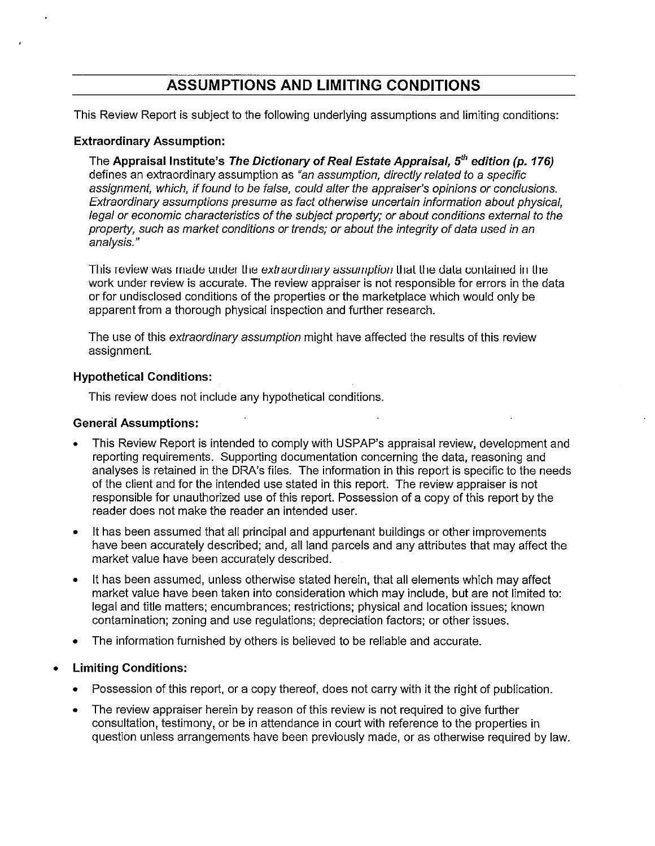## ASSUMPTIONS AND LIMITING CONDITIONS

This Review Report is subject to the following underlying assumptions and limiting conditions:

#### Extraordinary Assumption:

The Appraisal Institute's The Dictionary of Real Estate Appraisal,  $5<sup>th</sup>$  edition (p. 176) defines an extraordinary assumption as "an assumption, directly related to a specific assignment, which, if found to be false, could alter the appraiser's opinions or conclusions. Extraordinary assumptions presume as fact otherwise uncertain information about physica4 legal or economic characteristics of the subject property; or about conditions external to the property, such as market conditions or trends; or about the integrity of data used in an analysis."

This review was made under the extraordinary assumption that the data contained in the work under review is accurate. The review appraiser is not responsible for errors in the data or for undisclosed conditions of the properties or the marketplace which would only be apparent from a thorough physical inspection and further research.

The use of this extraordinary assumption might have affected the results of this review assignment.

#### Hypothetical Conditions:

This review does not include any hypothetical conditions.

#### General Assumptions:

- This Review Report is intended to comply with USPAP's appraisal review, development and reporting requirements. Supporting documentation concerning the data, reasoning and analyses is retained in the DRA's files. The information in this report is specific to the needs of the client and for the intended use stated in this report. The review appraiser is not responsible for unauthorized use of this report. Possession of a copy of this report by the reader does not make the reader an intended user.
- It has been assumed that all principal and appurtenant buildings or other improvements have been accurately described; and, all land parcels and any attributes that may affect the market value have been accurately described.
- It has been assumed, unless otherwise stated herein, that all elements which may affect market value have been taken into consideration which may include, but are not limited to: legal and title matters; encumbrances; restrictions; physical and location issues; known contamination; zoning and use regulations; depreciation factors; or other issues.
- The information furnished by others is believed to be reliable and accurate.
- Limiting Conditions:
	- Possession of this report, or a copy thereof, does not carry with it the right of publication.
	- The review appraiser herein by reason of this review is not required to give further consultation, testimony, or be in attendance in court with reference to the properties in question unless arrangements have been previously made, or as otherwise required by law.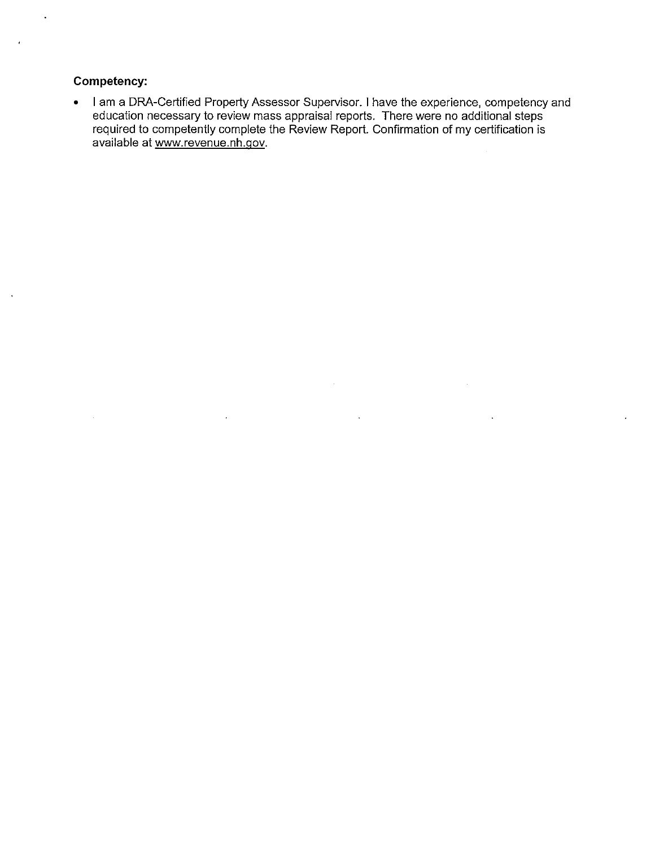### Competency:

 $\ddot{\phantom{0}}$ 

• <sup>I</sup> am a DRA-Certified Property Assessor Supervisor. <sup>I</sup> have the experience, competency and education necessary to review mass appraisal reports. There were no additional steps required to competently complete the Review Report. Confirmation of my certification is available at www.revenue.nh.gov.

 $\overline{\phantom{a}}$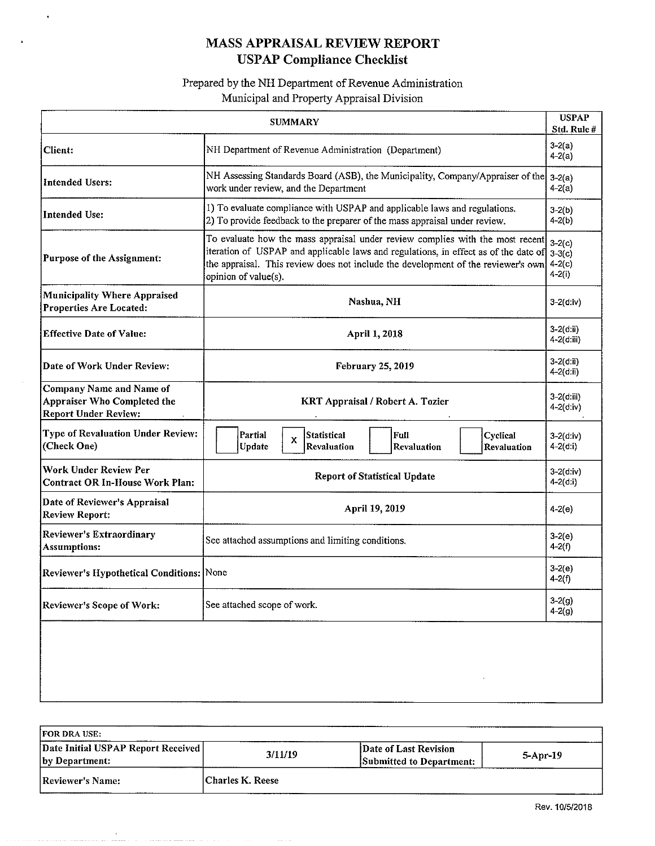## MASS APPRAISAL REVIEW REPORT USPAP Compliance Checklist

 $\hat{\boldsymbol{\theta}}$ 

 $\bullet$ 

### Prepared by the NH Department of Revenue Administration Municipal and Property Appraisal Division

| <b>SUMMARY</b>                                                                         |                                                                                                                                                                                                                                                                                                                                      |                             |  |  |  |
|----------------------------------------------------------------------------------------|--------------------------------------------------------------------------------------------------------------------------------------------------------------------------------------------------------------------------------------------------------------------------------------------------------------------------------------|-----------------------------|--|--|--|
| <b>Client:</b>                                                                         | $3-2(a)$<br>NH Department of Revenue Administration (Department)<br>$4-2(a)$                                                                                                                                                                                                                                                         |                             |  |  |  |
| Intended Users:                                                                        | NH Assessing Standards Board (ASB), the Municipality, Company/Appraiser of the<br>work under review, and the Department                                                                                                                                                                                                              | $3-2(a)$<br>$4-2(a)$        |  |  |  |
| <b>Intended Use:</b>                                                                   | 1) To evaluate compliance with USPAP and applicable laws and regulations.<br>2) To provide feedback to the preparer of the mass appraisal under review.                                                                                                                                                                              | $3-2(b)$<br>$4-2(b)$        |  |  |  |
| <b>Purpose of the Assignment:</b>                                                      | To evaluate how the mass appraisal under review complies with the most recent<br>$3 - 2(c)$<br>iteration of USPAP and applicable laws and regulations, in effect as of the date of $3-3(c)$<br>the appraisal. This review does not include the development of the reviewer's own<br>$4 - 2(c)$<br>$4 - 2(i)$<br>opinion of value(s). |                             |  |  |  |
| <b>Municipality Where Appraised</b><br><b>Properties Are Located:</b>                  | Nashua, NH                                                                                                                                                                                                                                                                                                                           | $3 - 2(d)$ :iv)             |  |  |  |
| <b>Effective Date of Value:</b>                                                        | April 1, 2018                                                                                                                                                                                                                                                                                                                        | $3 - 2(d;ii)$<br>4-2(d:iii) |  |  |  |
| Date of Work Under Review:                                                             | February 25, 2019                                                                                                                                                                                                                                                                                                                    | $3 - 2$ (d:ii)<br>4-2(d:ii) |  |  |  |
| Company Name and Name of<br>Appraiser Who Completed the<br><b>Report Under Review:</b> | 3-2(d:iii)<br>KRT Appraisal / Robert A. Tozier<br>$4 - 2(d; i)$                                                                                                                                                                                                                                                                      |                             |  |  |  |
| <b>Type of Revaluation Under Review:</b><br>(Check One)                                | Partial<br>Statistical<br>Cyclical<br>Full<br>$3 - 2(d:iv)$<br>x<br>Revaluation<br>Update<br>Revaluation<br>$4 - 2(a: i)$<br>Revaluation                                                                                                                                                                                             |                             |  |  |  |
| <b>Work Under Review Per</b><br><b>Contract OR In-House Work Plan:</b>                 | $3-2(d;iv)$<br><b>Report of Statistical Update</b><br>$4 - 2(d:i)$                                                                                                                                                                                                                                                                   |                             |  |  |  |
| Date of Reviewer's Appraisal<br><b>Review Report:</b>                                  | April 19, 2019<br>$4-2(e)$                                                                                                                                                                                                                                                                                                           |                             |  |  |  |
| Reviewer's Extraordinary<br><b>Assumptions:</b>                                        | $3-2(e)$<br>See attached assumptions and limiting conditions.<br>$4-2(f)$                                                                                                                                                                                                                                                            |                             |  |  |  |
| Reviewer's Hypothetical Conditions: None                                               | $3-2(e)$<br>$4-2(f)$                                                                                                                                                                                                                                                                                                                 |                             |  |  |  |
| <b>Reviewer's Scope of Work:</b>                                                       | $3 - 2(g)$<br>See attached scope of work.<br>$4 - 2(g)$                                                                                                                                                                                                                                                                              |                             |  |  |  |
|                                                                                        |                                                                                                                                                                                                                                                                                                                                      |                             |  |  |  |

| <b>FOR DRA USE:</b>                                  |                  |                                                   |          |
|------------------------------------------------------|------------------|---------------------------------------------------|----------|
| Date Initial USPAP Report Received<br>by Department: | 3/11/19          | Date of Last Revision<br>Submitted to Department: | 5-Apr-19 |
| Reviewer's Name:                                     | Charles K. Reese |                                                   |          |

 $\bar{\bar{z}}$ 

 $\label{eq:1.1} \alpha_{\alpha} = \alpha_{\alpha} \sin \alpha_{\alpha} \sin \alpha_{\beta} \sin \alpha_{\beta} \sin \alpha_{\beta} \sin \alpha_{\beta} \sin \alpha_{\beta} \sin \alpha_{\beta} \sin \alpha_{\beta} \sin \alpha_{\beta} \sin \alpha_{\beta} \sin \alpha_{\beta} \sin \alpha_{\beta} \sin \alpha_{\beta} \sin \alpha_{\beta} \sin \alpha_{\beta} \sin \alpha_{\beta} \sin \alpha_{\beta} \sin \alpha_{\beta} \sin \alpha_{\beta} \sin \alpha_{\beta} \sin \alpha_{\beta} \sin \alpha_{\beta} \sin \alpha_{\beta} \sin \alpha_{\beta} \sin \alpha_{\$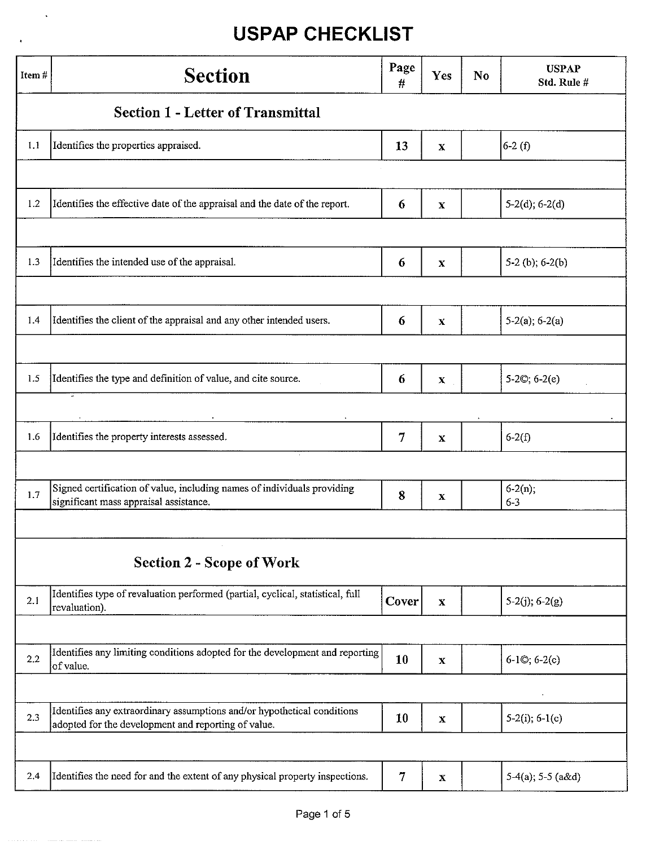$\hat{\mathbf{v}}$ 

×

| Item# | <b>Section</b>                                                                                                                 | Page<br>#      | Yes                       | N <sub>0</sub> | <b>USPAP</b><br>Std. Rule # |
|-------|--------------------------------------------------------------------------------------------------------------------------------|----------------|---------------------------|----------------|-----------------------------|
|       | <b>Section 1 - Letter of Transmittal</b>                                                                                       |                |                           |                |                             |
| 1.1   | Identifies the properties appraised.                                                                                           | 13             | X                         |                | $6-2(f)$                    |
|       |                                                                                                                                |                |                           |                |                             |
| 1.2   | Identifies the effective date of the appraisal and the date of the report.                                                     | 6              | $\mathbf X$               |                | $5-2(d)$ ; 6-2(d)           |
|       |                                                                                                                                |                |                           |                |                             |
| 1.3   | Identifies the intended use of the appraisal.                                                                                  | 6              | $\mathbf X$               |                | 5-2 (b); $6-2(b)$           |
|       |                                                                                                                                |                |                           |                |                             |
| 1.4   | Identifies the client of the appraisal and any other intended users.                                                           | 6              | $\mathbf X$               |                | $5-2(a)$ ; 6-2(a)           |
|       |                                                                                                                                |                |                           |                |                             |
| 1.5   | Identifies the type and definition of value, and cite source.                                                                  | 6              | $\boldsymbol{\mathrm{X}}$ |                | $5-2©$ ; $6-2(e)$           |
|       |                                                                                                                                |                |                           |                |                             |
| 1.6   | Identifies the property interests assessed.                                                                                    | $\overline{7}$ | $\mathbf x$               |                | $6-2(f)$                    |
|       |                                                                                                                                |                |                           |                |                             |
| 1.7   | Signed certification of value, including names of individuals providing<br>significant mass appraisal assistance.              | 8              | $\mathbf x$               |                | $6-2(n);$<br>$6 - 3$        |
|       |                                                                                                                                |                |                           |                |                             |
|       | <b>Section 2 - Scope of Work</b>                                                                                               |                |                           |                |                             |
| 2.1   | Identifies type of revaluation performed (partial, cyclical, statistical, full<br>revaluation).                                | Cover          | $\mathbf X$               |                | $5-2(j)$ ; 6-2(g)           |
|       |                                                                                                                                |                |                           |                |                             |
| 2.2   | Identifies any limiting conditions adopted for the development and reporting<br>of value.                                      | 10             | $\bf X$                   |                | $6-1$ ©; $6-2(c)$           |
|       |                                                                                                                                |                |                           |                |                             |
| 2.3   | Identifies any extraordinary assumptions and/or hypothetical conditions<br>adopted for the development and reporting of value. | 10             | $\mathbf x$               |                | $5-2(i)$ ; 6-1(c)           |
|       |                                                                                                                                |                |                           |                |                             |
| 2.4   | Identifies the need for and the extent of any physical property inspections.                                                   | $\overline{7}$ | $\mathbf X$               |                | $5-4(a)$ ; 5-5 (a&d)        |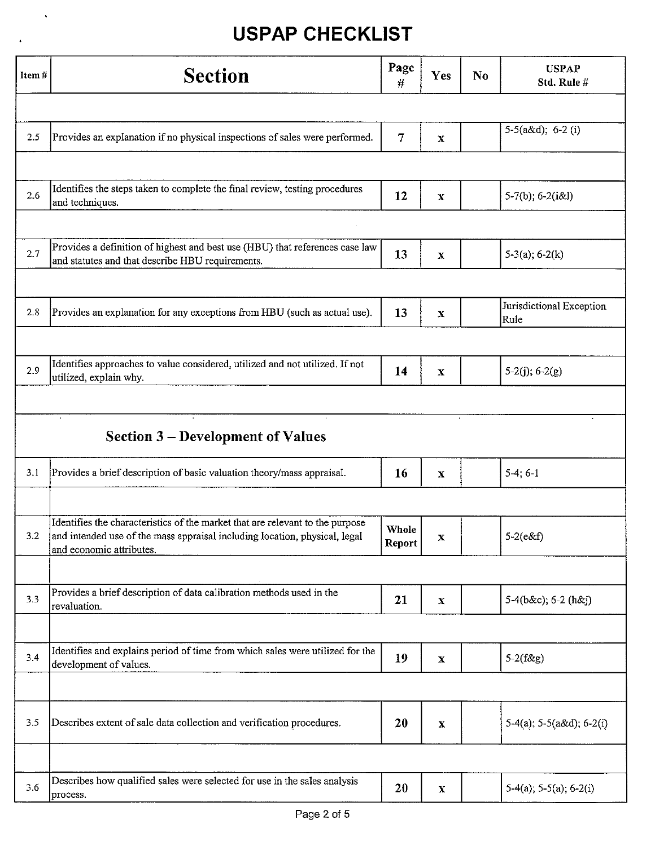$\ddot{\phantom{a}}$ 

| Item# | <b>Section</b>                                                                                                                                                                          | Page<br>#              | Yes          | <b>USPAP</b><br>N <sub>0</sub><br>Std. Rule # |                                   |
|-------|-----------------------------------------------------------------------------------------------------------------------------------------------------------------------------------------|------------------------|--------------|-----------------------------------------------|-----------------------------------|
|       |                                                                                                                                                                                         |                        |              |                                               |                                   |
| 2.5   | Provides an explanation if no physical inspections of sales were performed.                                                                                                             | 7                      | $\mathbf X$  |                                               | $5-5(a\&d); 6-2(i)$               |
|       |                                                                                                                                                                                         |                        |              |                                               |                                   |
| 2.6   | Identifies the steps taken to complete the final review, testing procedures<br>and techniques.                                                                                          | 12                     | $\mathbf x$  |                                               | $5-7(b)$ ; 6-2(i&l)               |
|       |                                                                                                                                                                                         |                        |              |                                               |                                   |
| 2.7   | Provides a definition of highest and best use (HBU) that references case law<br>and statutes and that describe HBU requirements.                                                        | 13                     | $\mathbf X$  |                                               | $5-3(a); 6-2(k)$                  |
|       |                                                                                                                                                                                         |                        |              |                                               |                                   |
| 2.8   | Provides an explanation for any exceptions from HBU (such as actual use).                                                                                                               | 13                     | $\mathbf X$  |                                               | Jurisdictional Exception<br>Rule  |
|       |                                                                                                                                                                                         |                        |              |                                               |                                   |
| 2.9   | Identifies approaches to value considered, utilized and not utilized. If not<br>utilized, explain why.                                                                                  | 14                     | $\mathbf X$  |                                               | $5-2(j)$ ; 6-2(g)                 |
|       |                                                                                                                                                                                         |                        |              |                                               |                                   |
|       | $\cdot$<br><b>Section 3-Development of Values</b>                                                                                                                                       |                        |              |                                               |                                   |
| 3.1   | Provides a brief description of basic valuation theory/mass appraisal.                                                                                                                  | <b>16</b>              | $\mathbf X$  |                                               | $5-4; 6-1$                        |
|       |                                                                                                                                                                                         |                        |              |                                               |                                   |
| 3.2   | Identifies the characteristics of the market that are relevant to the purpose<br>and intended use of the mass appraisal including location, physical, legal<br>and economic attributes. | <b>Whole</b><br>Report | X.           |                                               | $5 - 2(e & f)$                    |
|       |                                                                                                                                                                                         |                        |              |                                               |                                   |
| 3.3   | Provides a brief description of data calibration methods used in the<br>revaluation.                                                                                                    | 21                     | $\mathbf{x}$ |                                               | $5-4(b&c); 6-2(h&c)$              |
|       |                                                                                                                                                                                         |                        |              |                                               |                                   |
| 3.4   | Identifies and explains period of time from which sales were utilized for the<br>development of values.                                                                                 | 19                     | $\mathbf X$  |                                               | $5-2(f\&g)$                       |
|       |                                                                                                                                                                                         |                        |              |                                               |                                   |
| 3.5   | Describes extent of sale data collection and verification procedures.                                                                                                                   | 20                     | $\mathbf x$  |                                               | $5-4(a)$ ; $5-5(a\&d)$ ; $6-2(i)$ |
|       |                                                                                                                                                                                         |                        |              |                                               |                                   |
| 3.6   | Describes how qualified sales were selected for use in the sales analysis<br>process.                                                                                                   | 20                     | $\mathbf x$  |                                               | $5-4(a)$ ; $5-5(a)$ ; $6-2(i)$    |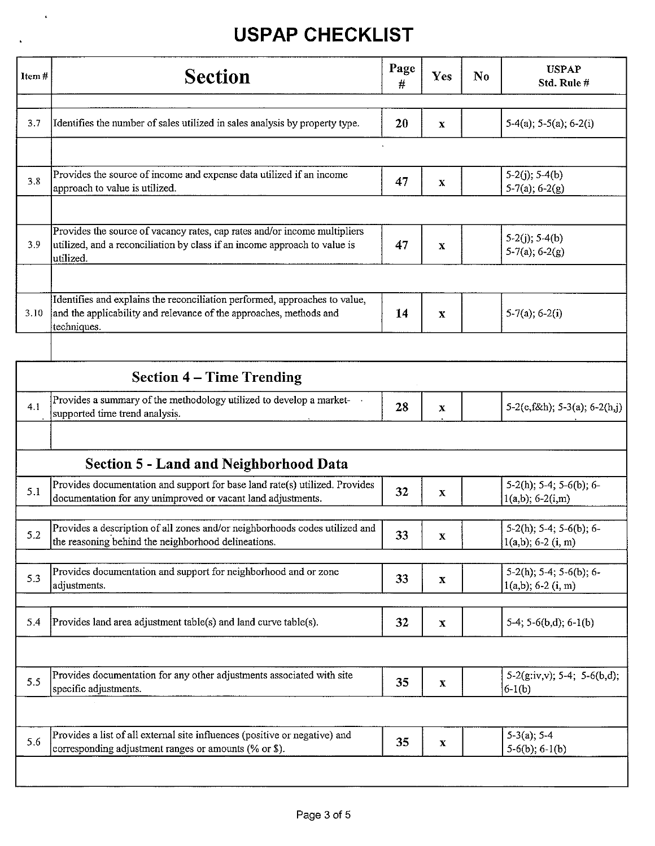$\langle \rangle_{\bullet}$ 

 $\Delta$ 

| Item# | <b>Section</b>                                                                                                                                                      | Page<br>$\#$ | Yes          | $\mathbf{N}\mathbf{0}$ | <b>USPAP</b><br>Std. Rule #                             |
|-------|---------------------------------------------------------------------------------------------------------------------------------------------------------------------|--------------|--------------|------------------------|---------------------------------------------------------|
|       |                                                                                                                                                                     |              |              |                        |                                                         |
| 3.7   | Identifies the number of sales utilized in sales analysis by property type.                                                                                         | 20           | $\mathbf X$  |                        | $5-4(a)$ ; $5-5(a)$ ; $6-2(i)$                          |
|       |                                                                                                                                                                     |              |              |                        |                                                         |
| 3.8   | Provides the source of income and expense data utilized if an income<br>approach to value is utilized.                                                              | 47           | $\mathbf{x}$ |                        | $5-2(i)$ ; $5-4(b)$<br>$5-7(a)$ ; 6-2(g)                |
|       |                                                                                                                                                                     |              |              |                        |                                                         |
| 3.9   | Provides the source of vacancy rates, cap rates and/or income multipliers<br>utilized, and a reconciliation by class if an income approach to value is<br>utilized. | 47           | $\mathbf X$  |                        | $5-2(j)$ ; $5-4(b)$<br>$5-7(a)$ ; 6-2(g)                |
|       |                                                                                                                                                                     |              |              |                        |                                                         |
| 3.10  | Identifies and explains the reconciliation performed, approaches to value,<br>and the applicability and relevance of the approaches, methods and<br>techniques.     | 14           | $\mathbf X$  |                        | $5-7(a)$ ; 6-2(i)                                       |
|       |                                                                                                                                                                     |              |              |                        |                                                         |
|       | <b>Section 4 – Time Trending</b>                                                                                                                                    |              |              |                        |                                                         |
| 4.1   | Provides a summary of the methodology utilized to develop a market-<br>supported time trend analysis.                                                               | 28           | $\mathbf x$  |                        | 5-2(e, f&h); 5-3(a); 6-2(h,j)                           |
|       |                                                                                                                                                                     |              |              |                        |                                                         |
|       | <b>Section 5 - Land and Neighborhood Data</b>                                                                                                                       |              |              |                        |                                                         |
| 5.1   | Provides documentation and support for base land rate(s) utilized. Provides<br>documentation for any unimproved or vacant land adjustments.                         | 32           | X            |                        | $5-2(h)$ ; $5-4$ ; $5-6(b)$ ; 6-<br>$1(a,b)$ ; 6-2(i,m) |
|       | Provides a description of all zones and/or neighborhoods codes utilized and                                                                                         |              |              |                        | $5-2(h)$ ; $5-4$ ; $5-6(b)$ ; $6-$                      |
| 5.2   | the reasoning behind the neighborhood delineations.                                                                                                                 | 33           | X            |                        | $1(a,b); 6-2 (i, m)$                                    |
| 5.3   | Provides documentation and support for neighborhood and or zone<br>adjustments.                                                                                     | 33           | $\mathbf X$  |                        | $5-2(h)$ ; 5-4; 5-6(b); 6-<br>$1(a,b); 6-2(i, m)$       |
|       |                                                                                                                                                                     |              |              |                        |                                                         |
| 5.4   | Provides land area adjustment table(s) and land curve table(s).                                                                                                     | 32           | $\mathbf x$  |                        | $5-4; 5-6(b,d); 6-1(b)$                                 |
|       |                                                                                                                                                                     |              |              |                        |                                                         |
| 5.5   | Provides documentation for any other adjustments associated with site<br>specific adjustments.                                                                      | 35           | $\mathbf X$  |                        | $5-2(g$ :iv,v); 5-4; 5-6(b,d);<br>$6-1(b)$              |
|       |                                                                                                                                                                     |              |              |                        |                                                         |
| 5.6   | Provides a list of all external site influences (positive or negative) and<br>corresponding adjustment ranges or amounts (% or \$).                                 | 35           | $\mathbf X$  |                        | $5-3(a)$ ; 5-4<br>$5-6(b)$ ; 6-1(b)                     |
|       |                                                                                                                                                                     |              |              |                        |                                                         |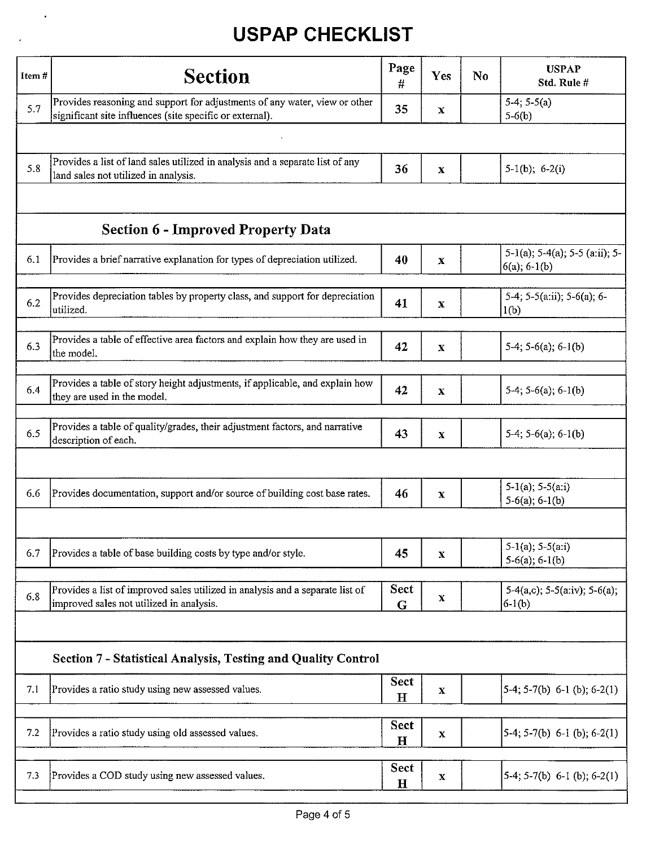$\ddot{\phantom{0}}$ 

| Item# | <b>Section</b>                                                                                                                         | Page<br>#           | Yes          | No | <b>USPAP</b><br>Std. Rule #                                 |
|-------|----------------------------------------------------------------------------------------------------------------------------------------|---------------------|--------------|----|-------------------------------------------------------------|
| 5.7   | Provides reasoning and support for adjustments of any water, view or other<br>significant site influences (site specific or external). | 35                  | $\mathbf{x}$ |    | $5-4; 5-5(a)$<br>$5-6(b)$                                   |
|       |                                                                                                                                        |                     |              |    |                                                             |
| 5.8   | Provides a list of land sales utilized in analysis and a separate list of any<br>land sales not utilized in analysis.                  | 36                  | $\mathbf X$  |    | $5-1(b)$ ; $6-2(i)$                                         |
|       |                                                                                                                                        |                     |              |    |                                                             |
|       | <b>Section 6 - Improved Property Data</b>                                                                                              |                     |              |    |                                                             |
| 6.1   | Provides a brief narrative explanation for types of depreciation utilized.                                                             | 40                  | $\mathbf x$  |    | $5-1(a)$ ; $5-4(a)$ ; $5-5(a;ii)$ ; $5-$<br>$6(a)$ ; 6-1(b) |
| 6.2   | Provides depreciation tables by property class, and support for depreciation<br>utilized.                                              | 41                  | X            |    | 5-4; 5-5(a:ii); 5-6(a); 6-<br>1(b)                          |
| 6.3   | Provides a table of effective area factors and explain how they are used in<br>the model.                                              | 42                  | $\mathbf X$  |    | $5-4$ ; $5-6(a)$ ; $6-1(b)$                                 |
| 6.4   | Provides a table of story height adjustments, if applicable, and explain how<br>they are used in the model.                            | 42                  | $\mathbf X$  |    | $5-4$ ; $5-6$ (a); $6-1$ (b)                                |
| 6.5   | Provides a table of quality/grades, their adjustment factors, and narrative<br>description of each.                                    | 43                  | $\mathbf{x}$ |    | $5-4$ ; $5-6(a)$ ; $6-1(b)$                                 |
|       |                                                                                                                                        |                     |              |    |                                                             |
| 6.6   | Provides documentation, support and/or source of building cost base rates.                                                             | 46                  | $\mathbf{x}$ |    | $5-1(a)$ ; $5-5(a:i)$<br>$5-6(a)$ ; 6-1(b)                  |
|       |                                                                                                                                        |                     |              |    |                                                             |
| 6.7   | Provides a table of base building costs by type and/or style.                                                                          | 45                  | $\mathbf x$  |    | $5-1(a)$ ; $5-5(a:i)$<br>$5-6(a)$ ; 6-1(b)                  |
| 6.8   | Provides a list of improved sales utilized in analysis and a separate list of<br>improved sales not utilized in analysis.              | Sect<br>$\mathbf G$ | $\mathbf x$  |    | $5-4(a,c)$ ; $5-5(a;iv)$ ; $5-6(a)$ ;<br>$6-1(b)$           |
|       |                                                                                                                                        |                     |              |    |                                                             |
|       | <b>Section 7 - Statistical Analysis, Testing and Quality Control</b>                                                                   |                     |              |    |                                                             |
| 7.1   | Provides a ratio study using new assessed values.                                                                                      | Sect<br>$\mathbf H$ | x            |    | $5-4$ ; $5-7(b)$ 6-1 (b); 6-2(1)                            |
| 7.2   | Provides a ratio study using old assessed values.                                                                                      | Sect<br>$\mathbf H$ | $\mathbf X$  |    | $5-4$ ; 5-7(b) 6-1 (b); 6-2(1)                              |
| 7.3   | Provides a COD study using new assessed values.                                                                                        | <b>Sect</b><br>H    | x            |    | $5-4$ ; 5-7(b) 6-1 (b); 6-2(1)                              |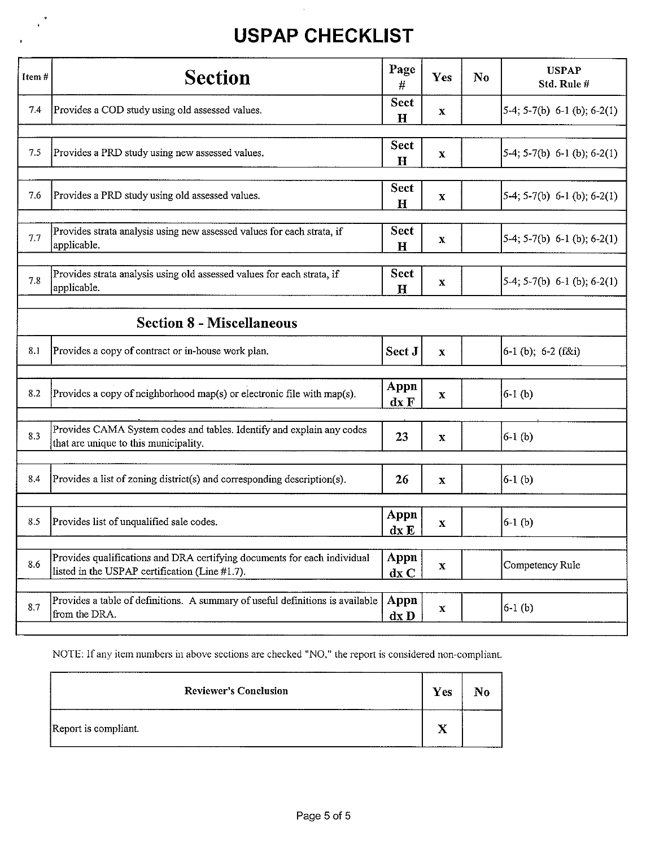$\ddot{\phantom{0}}$ 

 $\bullet$ 

| Item# | <b>Section</b>                                                                                                             | Page<br>#                   | Yes         | $\mathbf{N}\mathbf{0}$ | <b>USPAP</b><br>Std. Rule#                 |
|-------|----------------------------------------------------------------------------------------------------------------------------|-----------------------------|-------------|------------------------|--------------------------------------------|
| 7.4   | Provides a COD study using old assessed values.                                                                            | <b>Sect</b><br>$\mathbf H$  | $\mathbf x$ |                        | $\left[5-4; 5-7(b) 6-1 (b); 6-2(1)\right]$ |
| 7.5   | Provides a PRD study using new assessed values.                                                                            | <b>Sect</b><br>$\mathbf{H}$ | X           |                        | $5-4$ ; 5-7(b) 6-1 (b); 6-2(1)             |
| 7.6   | Provides a PRD study using old assessed values.                                                                            | <b>Sect</b><br>$\mathbf H$  | x           |                        | $5-4; 5-7(b) 6-1 (b); 6-2(1)$              |
| 7.7   | Provides strata analysis using new assessed values for each strata, if<br>applicable.                                      | <b>Sect</b><br>$\mathbf H$  | $\mathbf X$ |                        | $[5-4; 5-7(b) 6-1 (b); 6-2(1)]$            |
| 7.8   | Provides strata analysis using old assessed values for each strata, if<br>applicable.                                      | Sect<br>$\mathbf H$         | $\mathbf X$ |                        | $5-4$ ; 5-7(b) 6-1 (b); 6-2(1)             |
|       | <b>Section 8 - Miscellaneous</b>                                                                                           |                             |             |                        |                                            |
| 8.1   | Provides a copy of contract or in-house work plan.                                                                         | Sect J                      | $\mathbf X$ |                        | 6-1 (b); 6-2 (f&i)                         |
| 8.2   | Provides a copy of neighborhood map(s) or electronic file with map(s).                                                     | Appn<br>dx F                | $\mathbf X$ |                        | $6-1$ (b)                                  |
| 8.3   | Provides CAMA System codes and tables. Identify and explain any codes<br>that are unique to this municipality.             | 23                          | $\mathbf X$ |                        | $6-1$ (b)                                  |
| 8.4   | Provides a list of zoning district(s) and corresponding description(s).                                                    | 26                          | $\mathbf x$ |                        | $6-1$ (b)                                  |
| 8.5   | Provides list of unqualified sale codes.                                                                                   | Appn<br>dx E                | $\mathbf X$ |                        | $6-1$ (b)                                  |
| 8.6   | Provides qualifications and DRA certifying documents for each individual<br>listed in the USPAP certification (Line #1.7). | Appn<br>dx C                | $\mathbf x$ |                        | Competency Rule                            |
| 8.7   | Provides a table of definitions. A summary of useful definitions is available<br>from the DRA.                             | Appn<br>$dx$ D              | $\mathbf X$ |                        | $6-1$ (b)                                  |

NOTE: If any item numbers in above sections are checked "NO," the report is considered non-compliant.

| <b>Reviewer's Conclusion</b> | Yes |  |
|------------------------------|-----|--|
| Report is compliant.         | $-$ |  |